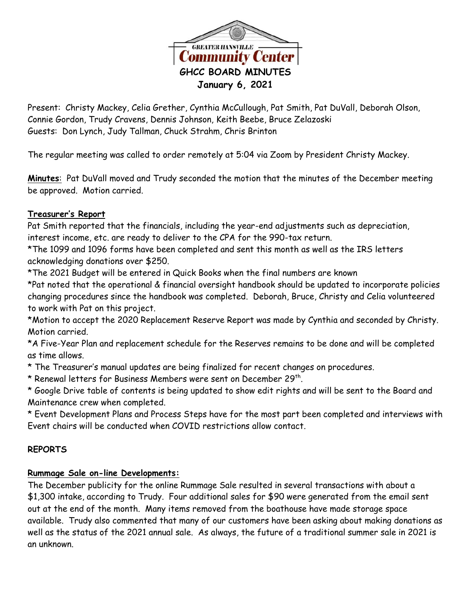

Present: Christy Mackey, Celia Grether, Cynthia McCullough, Pat Smith, Pat DuVall, Deborah Olson, Connie Gordon, Trudy Cravens, Dennis Johnson, Keith Beebe, Bruce Zelazoski Guests: Don Lynch, Judy Tallman, Chuck Strahm, Chris Brinton

The regular meeting was called to order remotely at 5:04 via Zoom by President Christy Mackey.

**Minutes**: Pat DuVall moved and Trudy seconded the motion that the minutes of the December meeting be approved. Motion carried.

#### **Treasurer's Report**

Pat Smith reported that the financials, including the year-end adjustments such as depreciation, interest income, etc. are ready to deliver to the CPA for the 990-tax return.

\*The 1099 and 1096 forms have been completed and sent this month as well as the IRS letters acknowledging donations over \$250.

\*The 2021 Budget will be entered in Quick Books when the final numbers are known

\*Pat noted that the operational & financial oversight handbook should be updated to incorporate policies changing procedures since the handbook was completed. Deborah, Bruce, Christy and Celia volunteered to work with Pat on this project.

\*Motion to accept the 2020 Replacement Reserve Report was made by Cynthia and seconded by Christy. Motion carried.

\*A Five-Year Plan and replacement schedule for the Reserves remains to be done and will be completed as time allows.

\* The Treasurer's manual updates are being finalized for recent changes on procedures.

 $^\star$  Renewal letters for Business Members were sent on December 29th.

\* Google Drive table of contents is being updated to show edit rights and will be sent to the Board and Maintenance crew when completed.

\* Event Development Plans and Process Steps have for the most part been completed and interviews with Event chairs will be conducted when COVID restrictions allow contact.

# **REPORTS**

# **Rummage Sale on-line Developments:**

The December publicity for the online Rummage Sale resulted in several transactions with about a \$1,300 intake, according to Trudy. Four additional sales for \$90 were generated from the email sent out at the end of the month. Many items removed from the boathouse have made storage space available. Trudy also commented that many of our customers have been asking about making donations as well as the status of the 2021 annual sale. As always, the future of a traditional summer sale in 2021 is an unknown.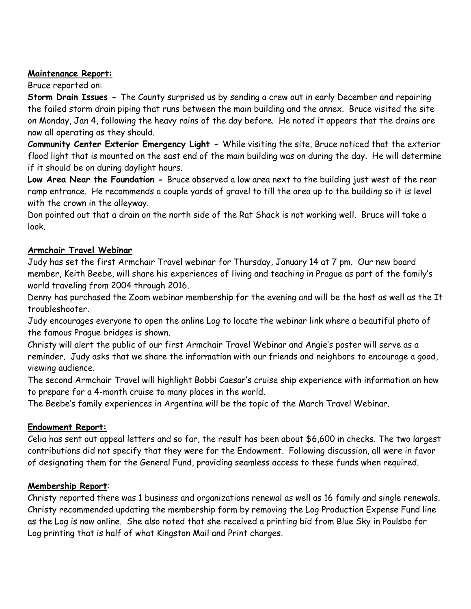#### **Maintenance Report:**

#### Bruce reported on:

**Storm Drain Issues -** The County surprised us by sending a crew out in early December and repairing the failed storm drain piping that runs between the main building and the annex. Bruce visited the site on Monday, Jan 4, following the heavy rains of the day before. He noted it appears that the drains are now all operating as they should.

**Community Center Exterior Emergency Light -** While visiting the site, Bruce noticed that the exterior flood light that is mounted on the east end of the main building was on during the day. He will determine if it should be on during daylight hours.

**Low Area Near the Foundation -** Bruce observed a low area next to the building just west of the rear ramp entrance. He recommends a couple yards of gravel to till the area up to the building so it is level with the crown in the alleyway.

Don pointed out that a drain on the north side of the Rat Shack is not working well. Bruce will take a look.

# **Armchair Travel Webinar**

Judy has set the first Armchair Travel webinar for Thursday, January 14 at 7 pm. Our new board member, Keith Beebe, will share his experiences of living and teaching in Prague as part of the family's world traveling from 2004 through 2016.

Denny has purchased the Zoom webinar membership for the evening and will be the host as well as the It troubleshooter.

Judy encourages everyone to open the online Log to locate the webinar link where a beautiful photo of the famous Prague bridges is shown.

Christy will alert the public of our first Armchair Travel Webinar and Angie's poster will serve as a reminder. Judy asks that we share the information with our friends and neighbors to encourage a good, viewing audience.

The second Armchair Travel will highlight Bobbi Caesar's cruise ship experience with information on how to prepare for a 4-month cruise to many places in the world.

The Beebe's family experiences in Argentina will be the topic of the March Travel Webinar.

# **Endowment Report:**

Celia has sent out appeal letters and so far, the result has been about \$6,600 in checks. The two largest contributions did not specify that they were for the Endowment. Following discussion, all were in favor of designating them for the General Fund, providing seamless access to these funds when required.

# **Membership Report**:

Christy reported there was 1 business and organizations renewal as well as 16 family and single renewals. Christy recommended updating the membership form by removing the Log Production Expense Fund line as the Log is now online. She also noted that she received a printing bid from Blue Sky in Poulsbo for Log printing that is half of what Kingston Mail and Print charges.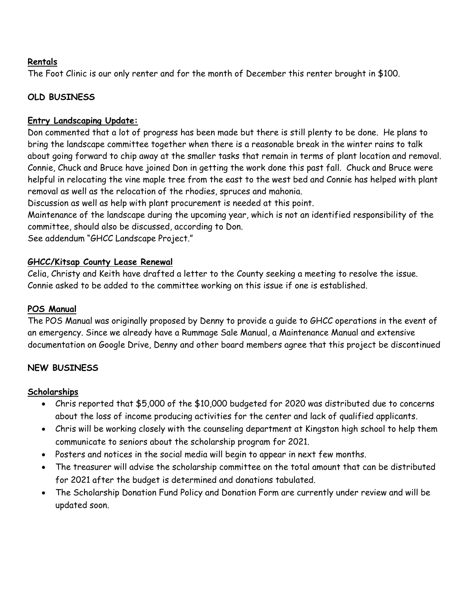#### **Rentals**

The Foot Clinic is our only renter and for the month of December this renter brought in \$100.

# **OLD BUSINESS**

### **Entry Landscaping Update:**

Don commented that a lot of progress has been made but there is still plenty to be done. He plans to bring the landscape committee together when there is a reasonable break in the winter rains to talk about going forward to chip away at the smaller tasks that remain in terms of plant location and removal. Connie, Chuck and Bruce have joined Don in getting the work done this past fall. Chuck and Bruce were helpful in relocating the vine maple tree from the east to the west bed and Connie has helped with plant removal as well as the relocation of the rhodies, spruces and mahonia.

Discussion as well as help with plant procurement is needed at this point.

Maintenance of the landscape during the upcoming year, which is not an identified responsibility of the committee, should also be discussed, according to Don.

See addendum "GHCC Landscape Project."

#### **GHCC/Kitsap County Lease Renewal**

Celia, Christy and Keith have drafted a letter to the County seeking a meeting to resolve the issue. Connie asked to be added to the committee working on this issue if one is established.

### **POS Manual**

The POS Manual was originally proposed by Denny to provide a guide to GHCC operations in the event of an emergency. Since we already have a Rummage Sale Manual, a Maintenance Manual and extensive documentation on Google Drive, Denny and other board members agree that this project be discontinued

# **NEW BUSINESS**

#### **Scholarships**

- Chris reported that \$5,000 of the \$10,000 budgeted for 2020 was distributed due to concerns about the loss of income producing activities for the center and lack of qualified applicants.
- Chris will be working closely with the counseling department at Kingston high school to help them communicate to seniors about the scholarship program for 2021.
- Posters and notices in the social media will begin to appear in next few months.
- The treasurer will advise the scholarship committee on the total amount that can be distributed for 2021 after the budget is determined and donations tabulated.
- The Scholarship Donation Fund Policy and Donation Form are currently under review and will be updated soon.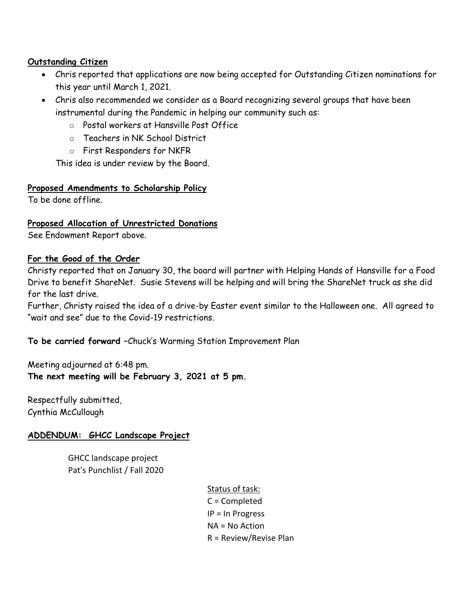### **Outstanding Citizen**

- Chris reported that applications are now being accepted for Outstanding Citizen nominations for this year until March 1, 2021.
- Chris also recommended we consider as a Board recognizing several groups that have been instrumental during the Pandemic in helping our community such as:
	- o Postal workers at Hansville Post Office
	- o Teachers in NK School District
	- o First Responders for NKFR

This idea is under review by the Board.

# **Proposed Amendments to Scholarship Policy**

To be done offline.

# **Proposed Allocation of Unrestricted Donations**

See Endowment Report above.

#### **For the Good of the Order**

Christy reported that on January 30, the board will partner with Helping Hands of Hansville for a Food Drive to benefit ShareNet. Susie Stevens will be helping and will bring the ShareNet truck as she did for the last drive.

Further, Christy raised the idea of a drive-by Easter event similar to the Halloween one. All agreed to "wait and see" due to the Covid-19 restrictions.

# **To be carried forward –**Chuck's Warming Station Improvement Plan

Meeting adjourned at 6:48 pm. **The next meeting will be February 3, 2021 at 5 pm.**

Respectfully submitted, Cynthia McCullough

# **ADDENDUM: GHCC Landscape Project**

GHCC landscape project Pat's Punchlist / Fall 2020

# Status of task:

C = Completed IP = In Progress NA = No Action R = Review/Revise Plan